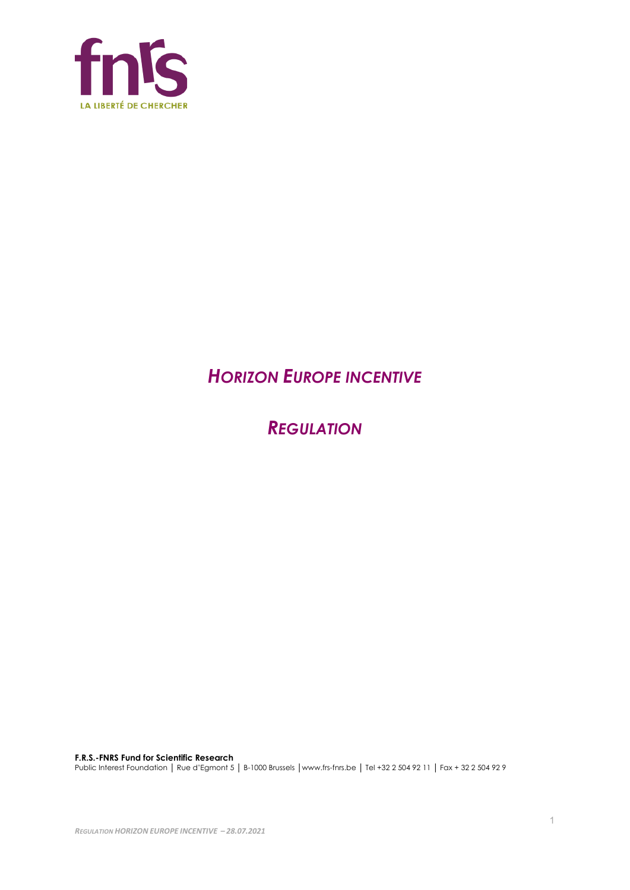

# *HORIZON EUROPE INCENTIVE*

*REGULATION*

**F.R.S.-FNRS Fund for Scientific Research** Public Interest Foundation │ Rue d'Egmont 5 │ B-1000 Brussels │www.frs-fnrs.be │ Tel +32 2 504 92 11 │ Fax + 32 2 504 92 9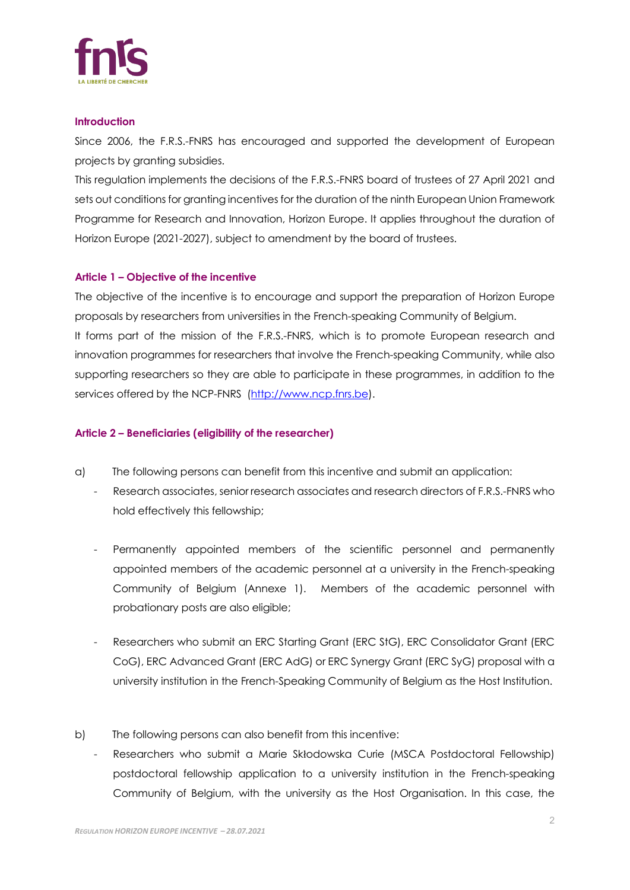

#### **Introduction**

Since 2006, the F.R.S.-FNRS has encouraged and supported the development of European projects by granting subsidies.

This regulation implements the decisions of the F.R.S.-FNRS board of trustees of 27 April 2021 and sets out conditions for granting incentives for the duration of the ninth European Union Framework Programme for Research and Innovation, Horizon Europe. It applies throughout the duration of Horizon Europe (2021-2027), subject to amendment by the board of trustees.

### **Article 1 – Objective of the incentive**

The objective of the incentive is to encourage and support the preparation of Horizon Europe proposals by researchers from universities in the French-speaking Community of Belgium. It forms part of the mission of the F.R.S.-FNRS, which is to promote European research and innovation programmes for researchers that involve the French-speaking Community, while also supporting researchers so they are able to participate in these programmes, in addition to the

## **Article 2 – Beneficiaries (eligibility of the researcher)**

services offered by the NCP-FNRS [\(http://www.ncp.fnrs.be\)](http://www.ncp.fnrs.be/).

- a) The following persons can benefit from this incentive and submit an application:
	- Research associates, senior research associates and research directors of F.R.S.-FNRS who hold effectively this fellowship;
	- Permanently appointed members of the scientific personnel and permanently appointed members of the academic personnel at a university in the French-speaking Community of Belgium (Annexe 1). Members of the academic personnel with probationary posts are also eligible;
	- Researchers who submit an ERC Starting Grant (ERC StG), ERC Consolidator Grant (ERC CoG), ERC Advanced Grant (ERC AdG) or ERC Synergy Grant (ERC SyG) proposal with a university institution in the French-Speaking Community of Belgium as the Host Institution.
- b) The following persons can also benefit from this incentive:
	- Researchers who submit a Marie Skłodowska Curie (MSCA Postdoctoral Fellowship) postdoctoral fellowship application to a university institution in the French-speaking Community of Belgium, with the university as the Host Organisation. In this case, the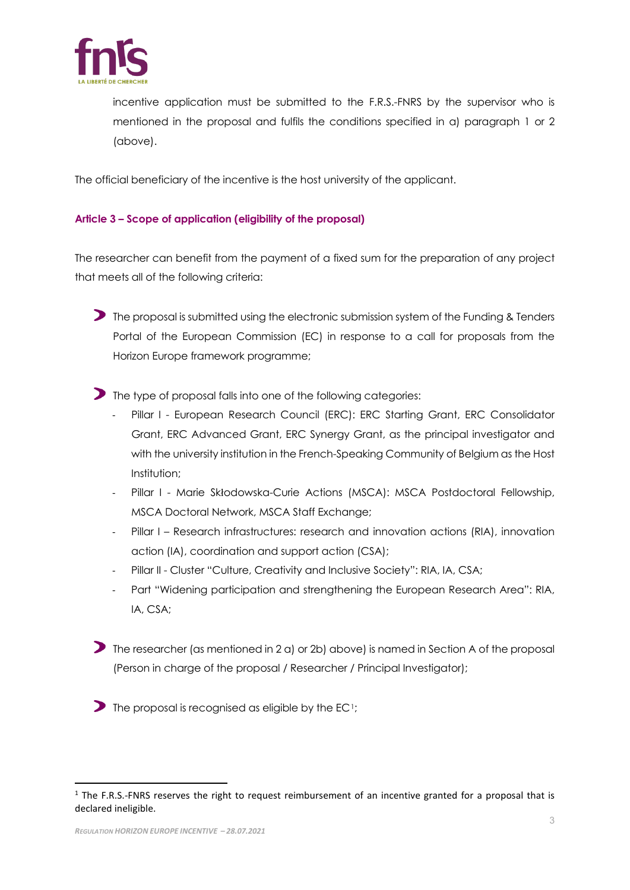

incentive application must be submitted to the F.R.S.-FNRS by the supervisor who is mentioned in the proposal and fulfils the conditions specified in a) paragraph 1 or 2 (above).

The official beneficiary of the incentive is the host university of the applicant.

## **Article 3 – Scope of application (eligibility of the proposal)**

The researcher can benefit from the payment of a fixed sum for the preparation of any project that meets all of the following criteria:

The proposal is submitted using the electronic submission system of the Funding & Tenders Portal of the European Commission (EC) in response to a call for proposals from the Horizon Europe framework programme;

The type of proposal falls into one of the following categories:

- Pillar I European Research Council (ERC): ERC Starting Grant, ERC Consolidator Grant, ERC Advanced Grant, ERC Synergy Grant, as the principal investigator and with the university institution in the French-Speaking Community of Belgium as the Host Institution;
- Pillar I Marie Skłodowska-Curie Actions (MSCA): MSCA Postdoctoral Fellowship, MSCA Doctoral Network, MSCA Staff Exchange;
- Pillar I Research infrastructures: research and innovation actions (RIA), innovation action (IA), coordination and support action (CSA);
- Pillar II Cluster "Culture, Creativity and Inclusive Society": RIA, IA, CSA;
- Part "Widening participation and strengthening the European Research Area": RIA, IA, CSA;
- The researcher (as mentioned in 2 a) or 2b) above) is named in Section A of the proposal (Person in charge of the proposal / Researcher / Principal Investigator);

The proposal is recognised as eligible by the  $EC<sup>1</sup>$  $EC<sup>1</sup>$  $EC<sup>1</sup>$ ;

<span id="page-2-0"></span> $1$  The F.R.S.-FNRS reserves the right to request reimbursement of an incentive granted for a proposal that is declared ineligible.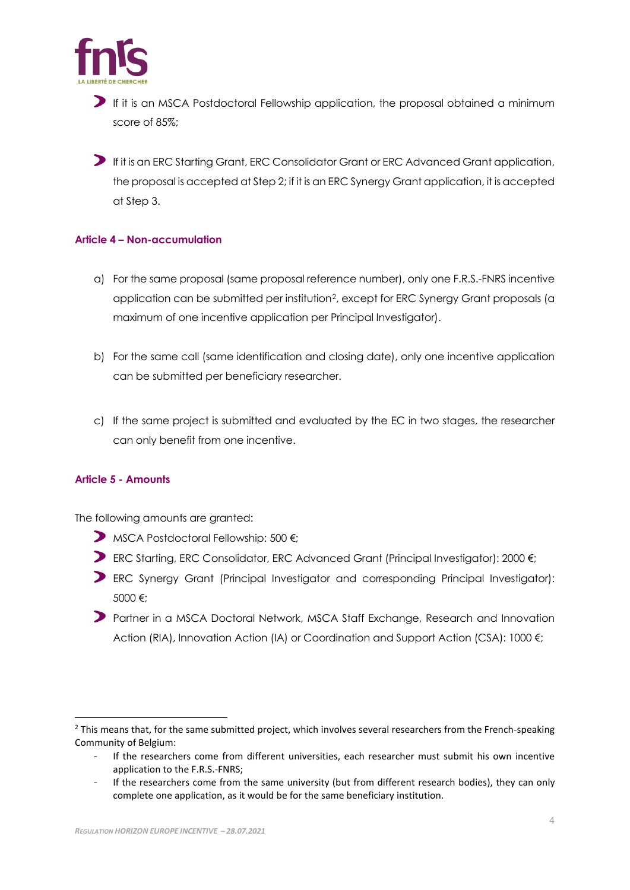

**If it is an MSCA Postdoctoral Fellowship application, the proposal obtained a minimum** score of 85%;

If it is an ERC Starting Grant, ERC Consolidator Grant or ERC Advanced Grant application, the proposal is accepted at Step 2; if it is an ERC Synergy Grant application, it is accepted at Step 3.

### **Article 4 – Non-accumulation**

- a) For the same proposal (same proposal reference number), only one F.R.S.-FNRS incentive application can be submitted per institution[2,](#page-3-0) except for ERC Synergy Grant proposals (a maximum of one incentive application per Principal Investigator).
- b) For the same call (same identification and closing date), only one incentive application can be submitted per beneficiary researcher.
- c) If the same project is submitted and evaluated by the EC in two stages, the researcher can only benefit from one incentive.

## **Article 5 - Amounts**

The following amounts are granted:

- MSCA Postdoctoral Fellowship: 500 €;
- ERC Starting, ERC Consolidator, ERC Advanced Grant (Principal Investigator): 2000 €;
- ERC Synergy Grant (Principal Investigator and corresponding Principal Investigator): 5000 €;
- Partner in a MSCA Doctoral Network, MSCA Staff Exchange, Research and Innovation Action (RIA), Innovation Action (IA) or Coordination and Support Action (CSA): 1000 €;

- If the researchers come from different universities, each researcher must submit his own incentive application to the F.R.S.-FNRS;
- If the researchers come from the same university (but from different research bodies), they can only complete one application, as it would be for the same beneficiary institution.

<span id="page-3-0"></span> $2$  This means that, for the same submitted project, which involves several researchers from the French-speaking Community of Belgium: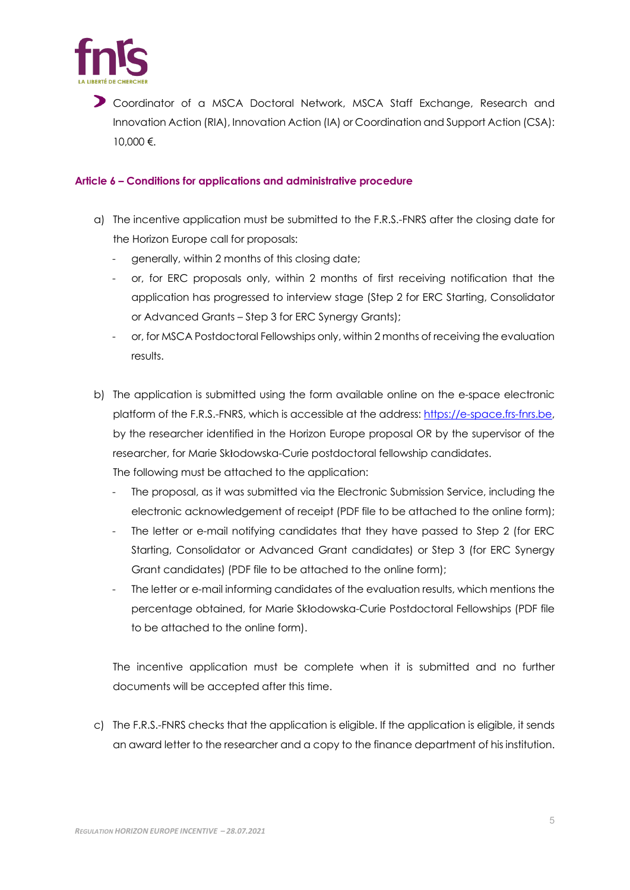

Coordinator of a MSCA Doctoral Network, MSCA Staff Exchange, Research and Innovation Action (RIA), Innovation Action (IA) or Coordination and Support Action (CSA): 10,000 €.

### **Article 6 – Conditions for applications and administrative procedure**

- a) The incentive application must be submitted to the F.R.S.-FNRS after the closing date for the Horizon Europe call for proposals:
	- generally, within 2 months of this closing date;
	- or, for ERC proposals only, within 2 months of first receiving notification that the application has progressed to interview stage (Step 2 for ERC Starting, Consolidator or Advanced Grants – Step 3 for ERC Synergy Grants);
	- or, for MSCA Postdoctoral Fellowships only, within 2 months of receiving the evaluation results.
- b) The application is submitted using the form available online on the e-space electronic platform of the F.R.S.-FNRS, which is accessible at the address[: https://e-space.frs-fnrs.be,](https://e-space.frs-fnrs.be/) by the researcher identified in the Horizon Europe proposal OR by the supervisor of the researcher, for Marie Skłodowska-Curie postdoctoral fellowship candidates. The following must be attached to the application:
	- The proposal, as it was submitted via the Electronic Submission Service, including the electronic acknowledgement of receipt (PDF file to be attached to the online form);
	- The letter or e-mail notifying candidates that they have passed to Step 2 (for ERC Starting, Consolidator or Advanced Grant candidates) or Step 3 (for ERC Synergy Grant candidates) (PDF file to be attached to the online form);
	- The letter or e-mail informing candidates of the evaluation results, which mentions the percentage obtained, for Marie Skłodowska-Curie Postdoctoral Fellowships (PDF file to be attached to the online form).

The incentive application must be complete when it is submitted and no further documents will be accepted after this time.

c) The F.R.S.-FNRS checks that the application is eligible. If the application is eligible, it sends an award letter to the researcher and a copy to the finance department of his institution.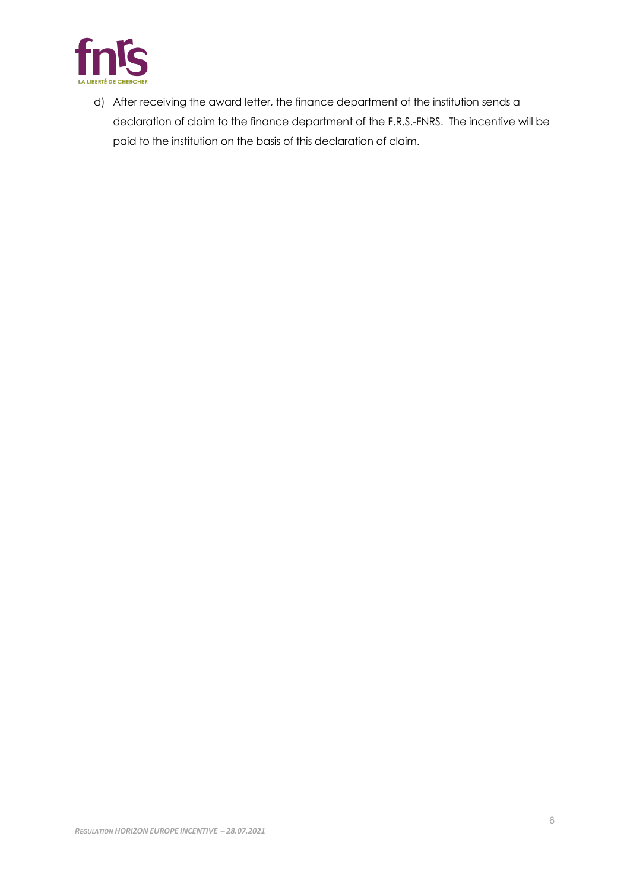

d) After receiving the award letter, the finance department of the institution sends a declaration of claim to the finance department of the F.R.S.-FNRS. The incentive will be paid to the institution on the basis of this declaration of claim.